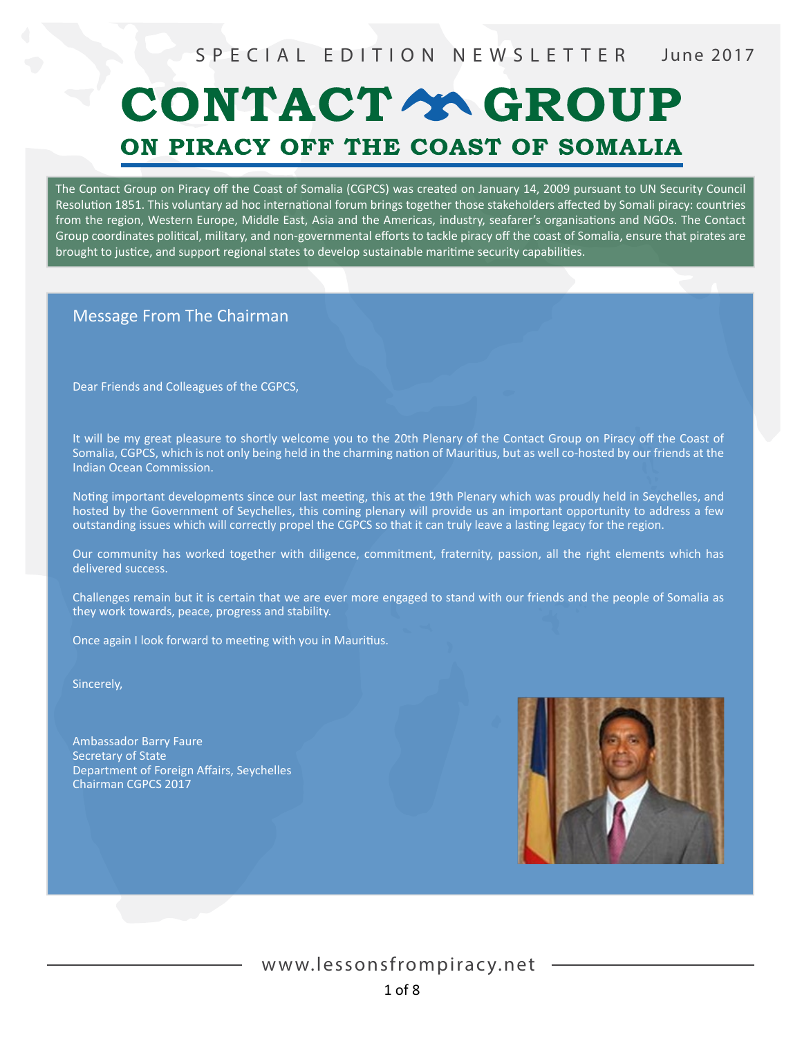# CONTACT Y GROUP ON PIRACY OFF THE COAST OF SOMALIA

The Contact Group on Piracy off the Coast of Somalia (CGPCS) was created on January 14, 2009 pursuant to UN Security Council Resolution 1851. This voluntary ad hoc international forum brings together those stakeholders affected by Somali piracy: countries from the region, Western Europe, Middle East, Asia and the Americas, industry, seafarer's organisations and NGOs. The Contact Group coordinates political, military, and non-governmental efforts to tackle piracy off the coast of Somalia, ensure that pirates are brought to justice, and support regional states to develop sustainable maritime security capabilities.

#### Message From The Chairman

Dear Friends and Colleagues of the CGPCS,

It will be my great pleasure to shortly welcome you to the 20th Plenary of the Contact Group on Piracy off the Coast of Somalia, CGPCS, which is not only being held in the charming nation of Mauritius, but as well co-hosted by our friends at the Indian Ocean Commission.

Noting important developments since our last meeting, this at the 19th Plenary which was proudly held in Seychelles, and hosted by the Government of Seychelles, this coming plenary will provide us an important opportunity to address a few outstanding issues which will correctly propel the CGPCS so that it can truly leave a lasting legacy for the region.

Our community has worked together with diligence, commitment, fraternity, passion, all the right elements which has delivered success.

Challenges remain but it is certain that we are ever more engaged to stand with our friends and the people of Somalia as they work towards, peace, progress and stability.

Once again I look forward to meeting with you in Mauritius.

Sincerely,

Ambassador Barry Faure Secretary of State Department of Foreign Affairs, Seychelles Chairman CGPCS 2017

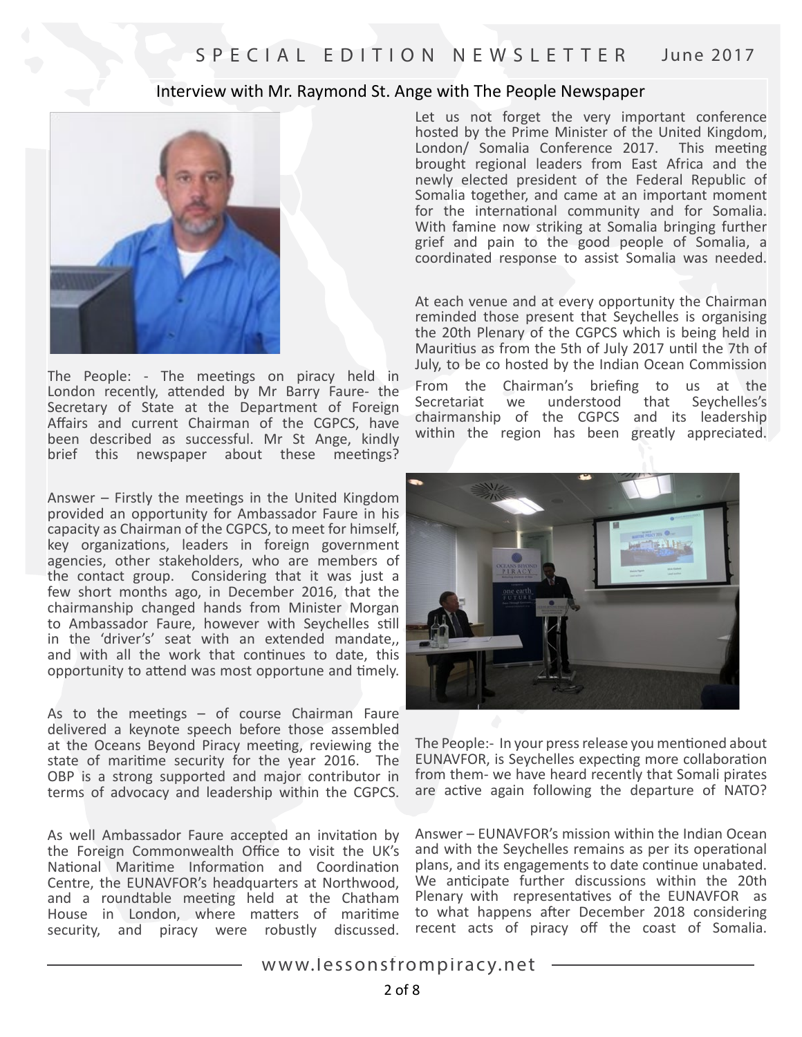#### Interview with Mr. Raymond St. Ange with The People Newspaper



The People: - The meetings on piracy held in London recently, attended by Mr Barry Faure- the Secretary of State at the Department of Foreign Affairs and current Chairman of the CGPCS, have been described as successful. Mr St Ange, kindly brief this newspaper about these meetings?

Answer – Firstly the meetings in the United Kingdom provided an opportunity for Ambassador Faure in his capacity as Chairman of the CGPCS, to meet for himself, key organizations, leaders in foreign government agencies, other stakeholders, who are members of the contact group. Considering that it was just a few short months ago, in December 2016, that the chairmanship changed hands from Minister Morgan to Ambassador Faure, however with Seychelles still in the 'driver's' seat with an extended mandate,, and with all the work that continues to date, this opportunity to attend was most opportune and timely.

As to the meetings – of course Chairman Faure delivered a keynote speech before those assembled at the Oceans Beyond Piracy meeting, reviewing the state of maritime security for the year 2016. The OBP is a strong supported and major contributor in terms of advocacy and leadership within the CGPCS.

As well Ambassador Faure accepted an invitation by the Foreign Commonwealth Office to visit the UK's National Maritime Information and Coordination Centre, the EUNAVFOR's headquarters at Northwood, and a roundtable meeting held at the Chatham House in London, where matters of maritime security, and piracy were robustly discussed.

Let us not forget the very important conference hosted by the Prime Minister of the United Kingdom, London/ Somalia Conference 2017. This meeting brought regional leaders from East Africa and the newly elected president of the Federal Republic of Somalia together, and came at an important moment for the international community and for Somalia. With famine now striking at Somalia bringing further grief and pain to the good people of Somalia, a coordinated response to assist Somalia was needed.

At each venue and at every opportunity the Chairman reminded those present that Seychelles is organising the 20th Plenary of the CGPCS which is being held in Mauritius as from the 5th of July 2017 until the 7th of July, to be co hosted by the Indian Ocean Commission

From the Chairman's briefing to us at the Secretariat we understood that Seychelles's chairmanship of the CGPCS and its leadership within the region has been greatly appreciated.



The People:- In your press release you mentioned about EUNAVFOR, is Seychelles expecting more collaboration from them- we have heard recently that Somali pirates are active again following the departure of NATO?

Answer – EUNAVFOR's mission within the Indian Ocean and with the Seychelles remains as per its operational plans, and its engagements to date continue unabated. We anticipate further discussions within the 20th Plenary with representatives of the EUNAVFOR as to what happens after December 2018 considering recent acts of piracy off the coast of Somalia.

www.lessonsfrompiracy.net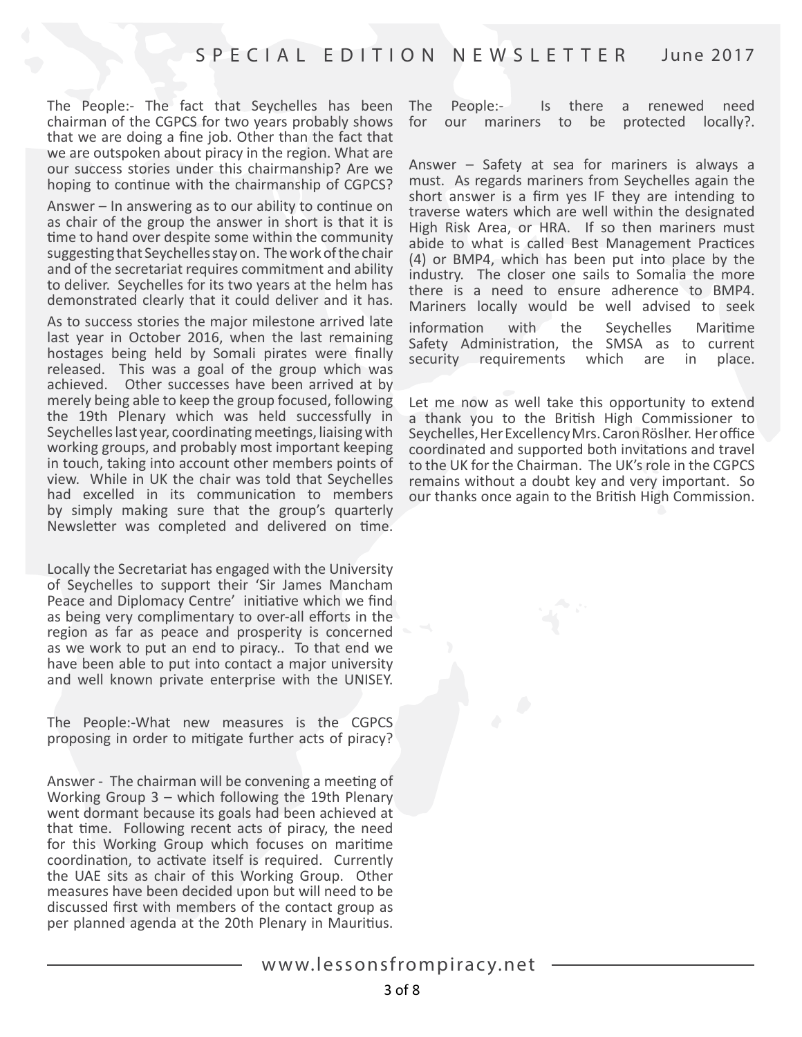The People:- The fact that Seychelles has been chairman of the CGPCS for two years probably shows that we are doing a fine job. Other than the fact that we are outspoken about piracy in the region. What are our success stories under this chairmanship? Are we hoping to continue with the chairmanship of CGPCS?

Answer – In answering as to our ability to continue on as chair of the group the answer in short is that it is time to hand over despite some within the community suggesting that Seychelles stay on. The work of the chair and of the secretariat requires commitment and ability to deliver. Seychelles for its two years at the helm has demonstrated clearly that it could deliver and it has.

As to success stories the major milestone arrived late last year in October 2016, when the last remaining hostages being held by Somali pirates were finally released. This was a goal of the group which was achieved. Other successes have been arrived at by merely being able to keep the group focused, following the 19th Plenary which was held successfully in Seychelles last year, coordinating meetings, liaising with working groups, and probably most important keeping in touch, taking into account other members points of view. While in UK the chair was told that Seychelles had excelled in its communication to members by simply making sure that the group's quarterly Newsletter was completed and delivered on time.

Locally the Secretariat has engaged with the University of Seychelles to support their 'Sir James Mancham Peace and Diplomacy Centre' initiative which we find as being very complimentary to over-all efforts in the region as far as peace and prosperity is concerned as we work to put an end to piracy.. To that end we have been able to put into contact a major university and well known private enterprise with the UNISEY.

The People:-What new measures is the CGPCS proposing in order to mitigate further acts of piracy?

Answer - The chairman will be convening a meeting of Working Group 3 – which following the 19th Plenary went dormant because its goals had been achieved at that time. Following recent acts of piracy, the need for this Working Group which focuses on maritime coordination, to activate itself is required. Currently the UAE sits as chair of this Working Group. Other measures have been decided upon but will need to be discussed first with members of the contact group as per planned agenda at the 20th Plenary in Mauritius.

The People:- Is there a renewed need for our mariners to be protected locally?.

Answer – Safety at sea for mariners is always a must. As regards mariners from Seychelles again the short answer is a firm yes IF they are intending to traverse waters which are well within the designated High Risk Area, or HRA. If so then mariners must abide to what is called Best Management Practices (4) or BMP4, which has been put into place by the industry. The closer one sails to Somalia the more there is a need to ensure adherence to BMP4. Mariners locally would be well advised to seek information with the Seychelles Maritime Safety Administration, the SMSA as to current security requirements which are in place.

Let me now as well take this opportunity to extend a thank you to the British High Commissioner to Seychelles, Her Excellency Mrs. Caron Röslher. Her office coordinated and supported both invitations and travel to the UK for the Chairman. The UK's role in the CGPCS remains without a doubt key and very important. So our thanks once again to the British High Commission.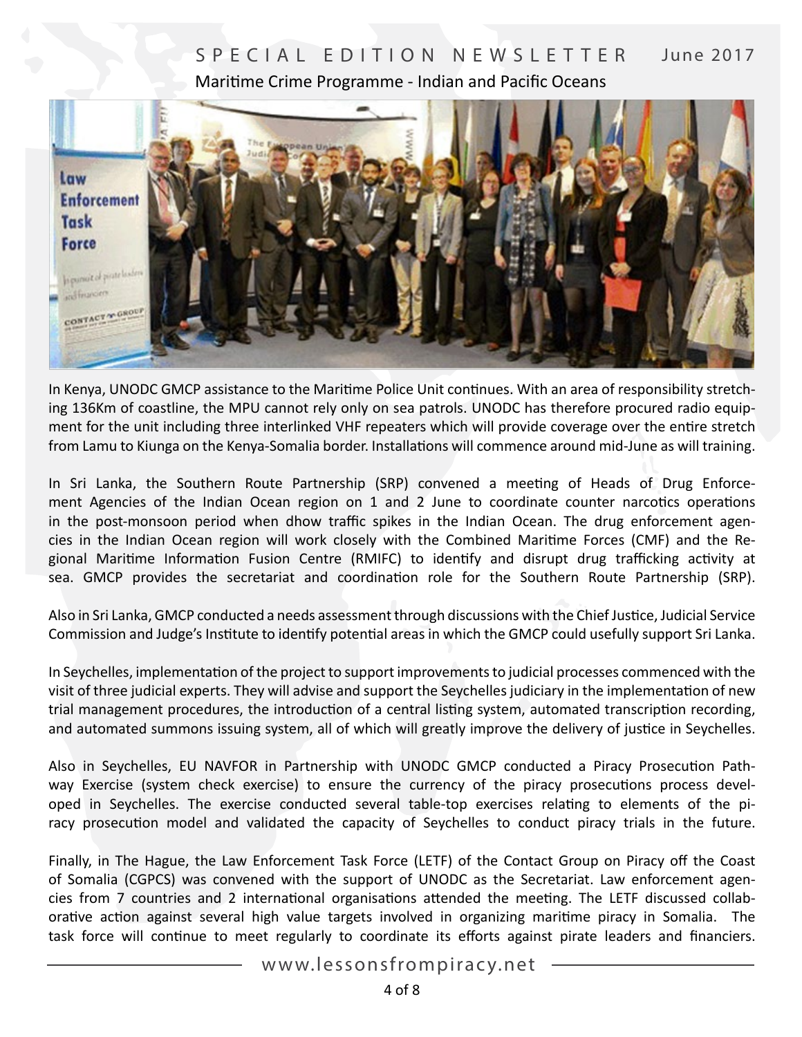# SPECIAL EDITION NEWSLETTER June 2017 Maritime Crime Programme - Indian and Pacific Oceans



In Kenya, UNODC GMCP assistance to the Maritime Police Unit continues. With an area of responsibility stretching 136Km of coastline, the MPU cannot rely only on sea patrols. UNODC has therefore procured radio equipment for the unit including three interlinked VHF repeaters which will provide coverage over the entire stretch from Lamu to Kiunga on the Kenya-Somalia border. Installations will commence around mid-June as will training.

In Sri Lanka, the Southern Route Partnership (SRP) convened a meeting of Heads of Drug Enforcement Agencies of the Indian Ocean region on 1 and 2 June to coordinate counter narcotics operations in the post-monsoon period when dhow traffic spikes in the Indian Ocean. The drug enforcement agencies in the Indian Ocean region will work closely with the Combined Maritime Forces (CMF) and the Regional Maritime Information Fusion Centre (RMIFC) to identify and disrupt drug trafficking activity at sea. GMCP provides the secretariat and coordination role for the Southern Route Partnership (SRP).

Also in Sri Lanka, GMCP conducted a needs assessment through discussions with the Chief Justice, Judicial Service Commission and Judge's Institute to identify potential areas in which the GMCP could usefully support Sri Lanka.

In Seychelles, implementation of the project to support improvements to judicial processes commenced with the visit of three judicial experts. They will advise and support the Seychelles judiciary in the implementation of new trial management procedures, the introduction of a central listing system, automated transcription recording, and automated summons issuing system, all of which will greatly improve the delivery of justice in Seychelles.

Also in Seychelles, EU NAVFOR in Partnership with UNODC GMCP conducted a Piracy Prosecution Pathway Exercise (system check exercise) to ensure the currency of the piracy prosecutions process developed in Seychelles. The exercise conducted several table-top exercises relating to elements of the piracy prosecution model and validated the capacity of Seychelles to conduct piracy trials in the future.

Finally, in The Hague, the Law Enforcement Task Force (LETF) of the Contact Group on Piracy off the Coast of Somalia (CGPCS) was convened with the support of UNODC as the Secretariat. Law enforcement agencies from 7 countries and 2 international organisations attended the meeting. The LETF discussed collaborative action against several high value targets involved in organizing maritime piracy in Somalia. The task force will continue to meet regularly to coordinate its efforts against pirate leaders and financiers.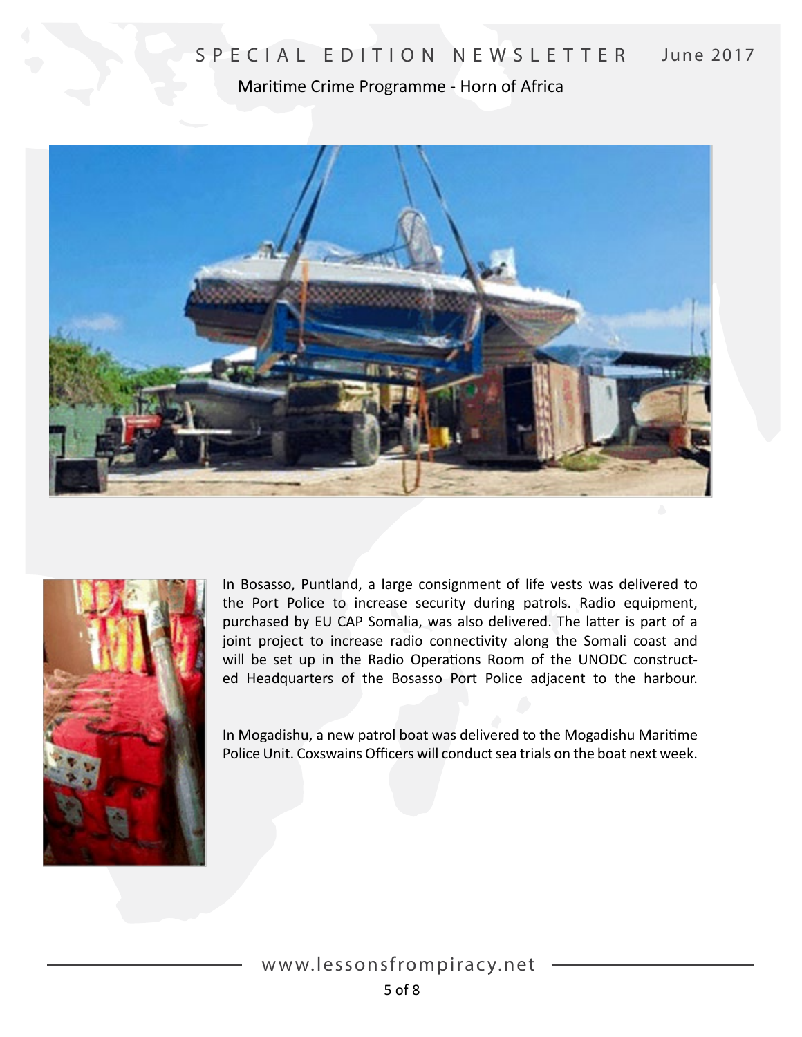Maritime Crime Programme - Horn of Africa





In Bosasso, Puntland, a large consignment of life vests was delivered to the Port Police to increase security during patrols. Radio equipment, purchased by EU CAP Somalia, was also delivered. The latter is part of a joint project to increase radio connectivity along the Somali coast and will be set up in the Radio Operations Room of the UNODC constructed Headquarters of the Bosasso Port Police adjacent to the harbour.

In Mogadishu, a new patrol boat was delivered to the Mogadishu Maritime Police Unit. Coxswains Officers will conduct sea trials on the boat next week.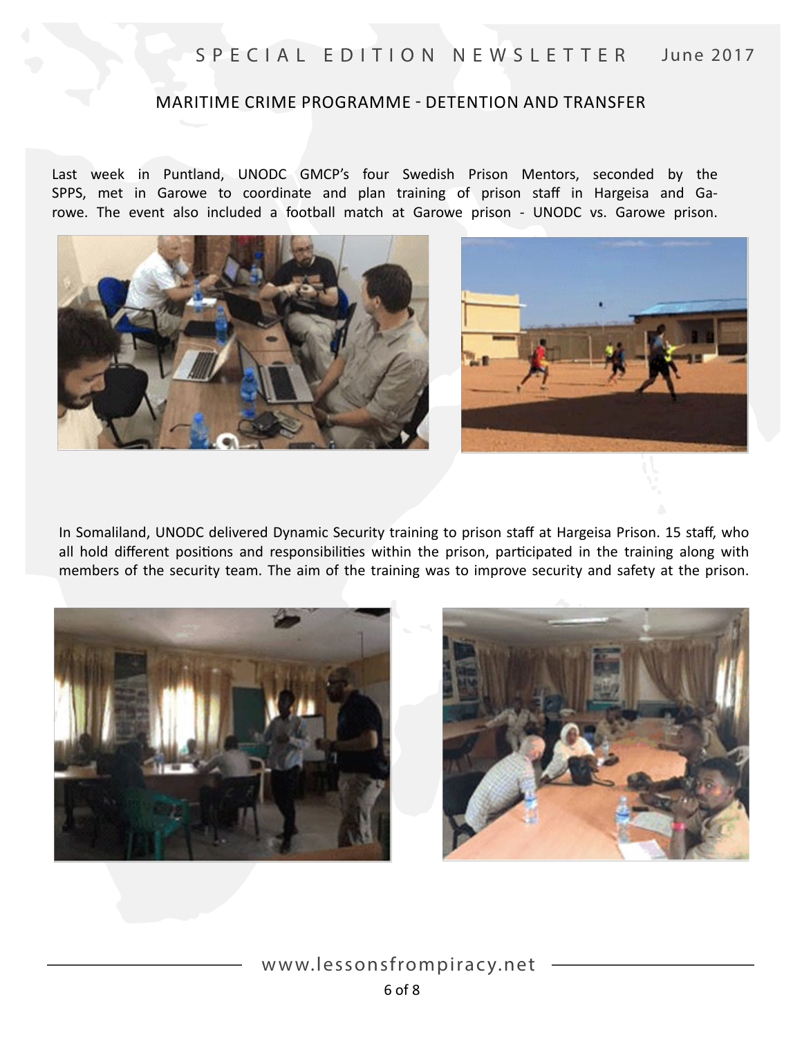#### MARITIME CRIME PROGRAMME - DETENTION AND TRANSFER

Last week in Puntland, UNODC GMCP's four Swedish Prison Mentors, seconded by the SPPS, met in Garowe to coordinate and plan training of prison staff in Hargeisa and Garowe. The event also included a football match at Garowe prison - UNODC vs. Garowe prison.





In Somaliland, UNODC delivered Dynamic Security training to prison staff at Hargeisa Prison. 15 staff, who all hold different positions and responsibilities within the prison, participated in the training along with members of the security team. The aim of the training was to improve security and safety at the prison.



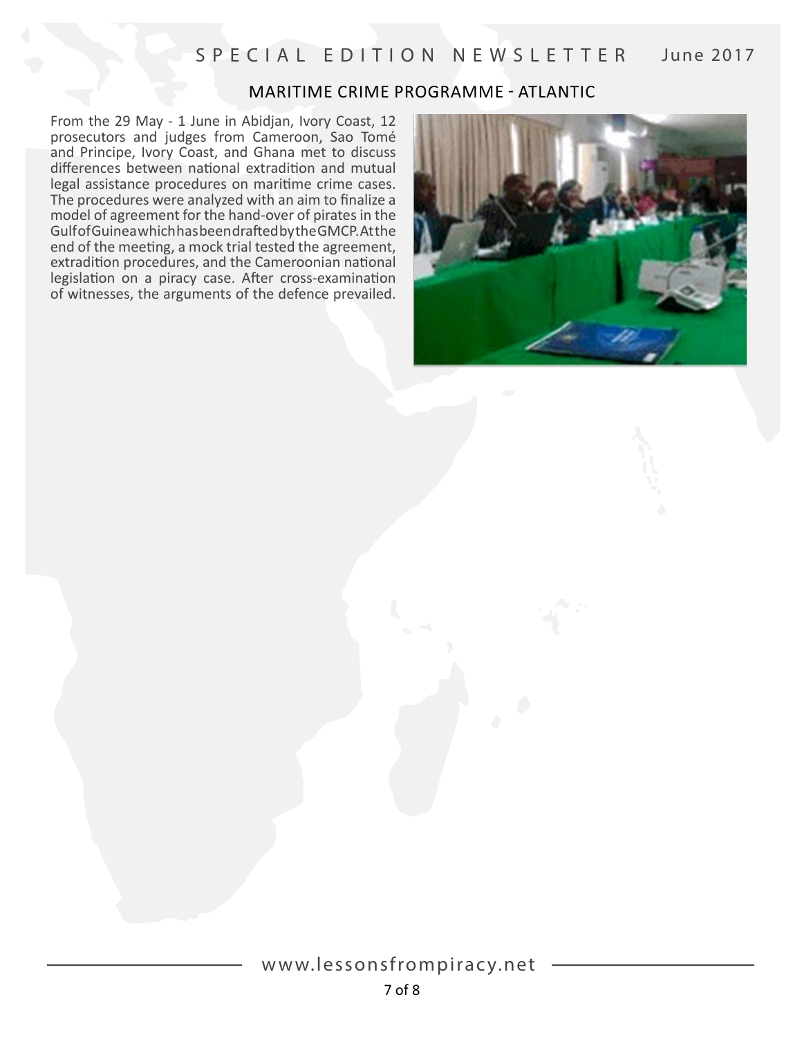### MARITIME CRIME PROGRAMME - ATLANTIC

From the 29 May - 1 June in Abidjan, Ivory Coast, 12 prosecutors and judges from Cameroon, Sao Tomé and Principe, Ivory Coast, and Ghana met to discuss differences between national extradition and mutual legal assistance procedures on maritime crime cases. The procedures were analyzed with an aim to finalize a model of agreement for the hand-over of pirates in the Gulf of Guinea which has been drafted by the GMCP. At the end of the meeting, a mock trial tested the agreement, extradition procedures, and the Cameroonian national legislation on a piracy case. After cross-examination of witnesses, the arguments of the defence prevailed.